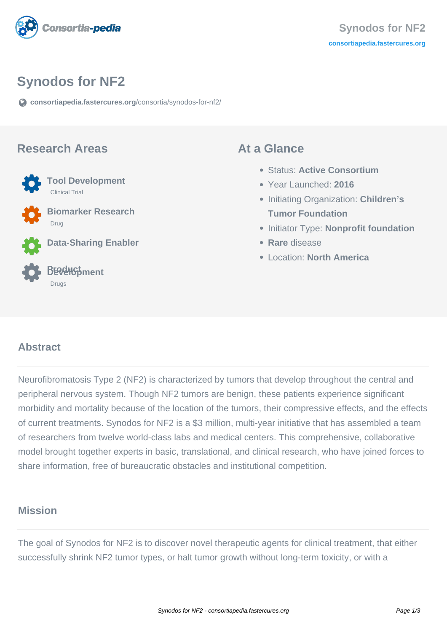

### **Synodos for NF2**

**[consortiapedia.fastercures.org](https://consortiapedia.fastercures.org/consortia/synodos-for-nf2/)**[/consortia/synodos-for-nf2/](https://consortiapedia.fastercures.org/consortia/synodos-for-nf2/)

#### **Research Areas**



 **Tool Development** Clinical Trial

 **Biomarker Research** Drug

**Data-Sharing Enabler**

#### **Product Development** Drugs

#### **At a Glance**

- Status: **Active Consortium**
- Year Launched: **2016**
- Initiating Organization: **Children's Tumor Foundation**
- **Initiator Type: Nonprofit foundation**
- **Rare** disease
- Location: **North America**

#### $\overline{a}$ **Abstract**

Neurofibromatosis Type 2 (NF2) is characterized by tumors that develop throughout the central and peripheral nervous system. Though NF2 tumors are benign, these patients experience significant morbidity and mortality because of the location of the tumors, their compressive effects, and the effects of current treatments. Synodos for NF2 is a \$3 million, multi-year initiative that has assembled a team of researchers from twelve world-class labs and medical centers. This comprehensive, collaborative model brought together experts in basic, translational, and clinical research, who have joined forces to share information, free of bureaucratic obstacles and institutional competition.

#### **Mission**

The goal of Synodos for NF2 is to discover novel therapeutic agents for clinical treatment, that either successfully shrink NF2 tumor types, or halt tumor growth without long-term toxicity, or with a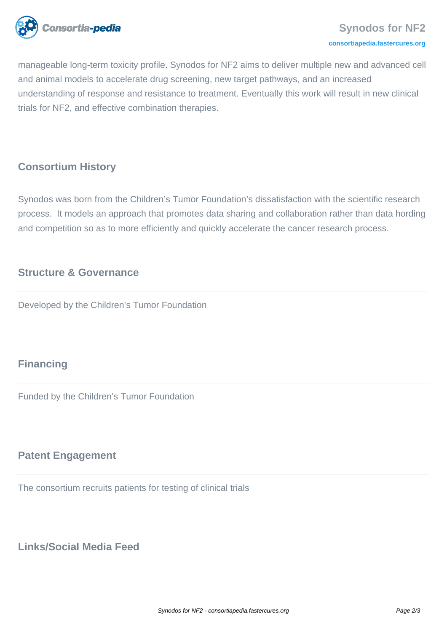

manageable long-term toxicity profile. Synodos for NF2 aims to deliver multiple new and advanced cell and animal models to accelerate drug screening, new target pathways, and an increased understanding of response and resistance to treatment. Eventually this work will result in new clinical trials for NF2, and effective combination therapies.

#### **Consortium History**

Synodos was born from the Children's Tumor Foundation's dissatisfaction with the scientific research process. It models an approach that promotes data sharing and collaboration rather than data hording and competition so as to more efficiently and quickly accelerate the cancer research process.

#### **Structure & Governance**

Developed by the Children's Tumor Foundation

# **Financing**

Funded by the Children's Tumor Foundation

#### **Patent Engagement**

The consortium recruits patients for testing of clinical trials

# **Links/Social Media Feed**